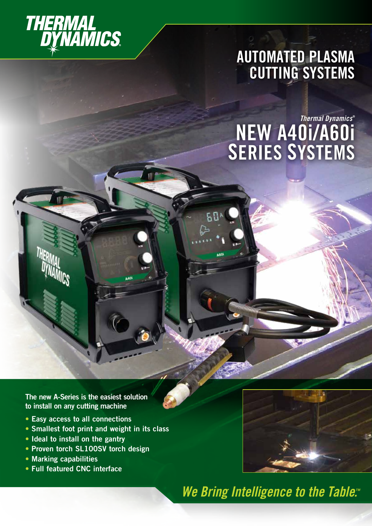

# **AUTOMATED PLASMA CUTTING SYSTEMS**

# *Thermal Dynamics* **® NEW A40i/A60i SERIES SYSTEMS**

**The new A-Series is the easiest solution to install on any cutting machine**

- **• Easy access to all connections**
- **• Smallest foot print and weight in its class**
- **• Ideal to install on the gantry**
- **• Proven torch SL100SV torch design**
- **• Marking capabilities**
- **• Full featured CNC interface**



*We Bring Intelligence to the Table.<sup>14</sup>* 

WWW.and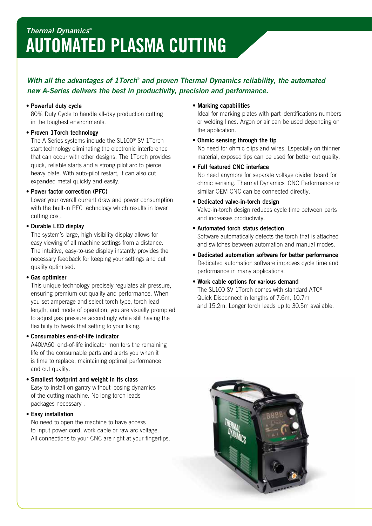## **AUTOMATED PLASMA CUTTING** *Thermal Dynamics* **®**

## With all the advantages of 1 Torch<sup>®</sup> and proven Thermal Dynamics reliability, the automated *new A-Series delivers the best in productivity, precision and performance.*

#### • **Powerful duty cycle**

80% Duty Cycle to handle all-day production cutting in the toughest environments.

### • **Proven 1Torch technology**

The A-Series systems include the SL100® SV 1Torch start technology eliminating the electronic interference that can occur with other designs. The 1Torch provides quick, reliable starts and a strong pilot arc to pierce heavy plate. With auto-pilot restart, it can also cut expanded metal quickly and easily.

### • **Power factor correction (PFC)**

Lower your overall current draw and power consumption with the built-in PFC technology which results in lower cutting cost.

## • **Durable LED display**

The system's large, high-visibility display allows for easy viewing of all machine settings from a distance. The intuitive, easy-to-use display instantly provides the necessary feedback for keeping your settings and cut quality optimised.

#### • **Gas optimiser**

This unique technology precisely regulates air pressure, ensuring premium cut quality and performance. When you set amperage and select torch type, torch lead length, and mode of operation, you are visually prompted to adjust gas pressure accordingly while still having the flexibility to tweak that setting to your liking.

## • **Consumables end-of-life indicator**

A40i/A60i end-of-life indicator monitors the remaining life of the consumable parts and alerts you when it is time to replace, maintaining optimal performance and cut quality.

• **Smallest footprint and weight in its class** Easy to install on gantry without loosing dynamics

of the cutting machine. No long torch leads packages necessary .

## • **Easy installation**

No need to open the machine to have access to input power cord, work cable or raw arc voltage. All connections to your CNC are right at your fingertips.

### • **Marking capabilities**

Ideal for marking plates with part identifications numbers or welding lines. Argon or air can be used depending on the application.

### • **Ohmic sensing through the tip**

No need for ohmic clips and wires. Especially on thinner material, exposed tips can be used for better cut quality.

### • **Full featured CNC interface**

No need anymore for separate voltage divider board for ohmic sensing. Thermal Dynamics iCNC Performance or similar OEM CNC can be connected directly.

## • **Dedicated valve-in-torch design**

Valve-in-torch design reduces cycle time between parts and increases productivity.

- **Automated torch status detection** Software automatically detects the torch that is attached and switches between automation and manual modes.
- **Dedicated automation software for better performance** Dedicated automation software improves cycle time and performance in many applications.
- **Work cable options for various demand** The SL100 SV 1Torch comes with standard ATC® Quick Disconnect in lengths of 7.6m, 10.7m and 15.2m. Longer torch leads up to 30.5m available.

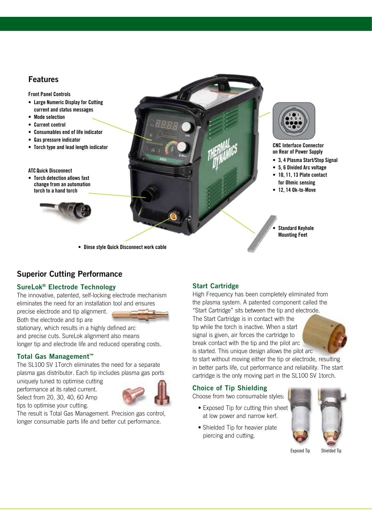## **Features**

- **• Large Numeric Display for Cutting current and status messages**
- **• Mode selection**
- **• Current control**
- **• Consumables end of life indicator**
- **• Gas pressure indicator**
- **• Torch type and lead length indicator**
- **ATCQuick Disconnect**
- **• Torch detection allows fast change from an automation torch to a hand torch**







**CNC Interface Connector 3 4 Plasma Start/Stop Signal 124 Branch Commode**<br> **122 Branch Power Supply** 

- **• 3, 4 Plasma Start/Stop Signal**
- **• 5, 6 Divided Arc voltage**
- **• 10, 11, 13 Plate contact for Ohmic sensing**
- **• 12, 14 Ok-to-Move**

**• Standard Keyhole Mounting Feet**

**• Dinse style Quick Disconnect work cable**

## **Superior Cutting Performance**

## **SureLok® Electrode Technology**

The innovative, patented, self-locking electrode mechanism eliminates the need for an installation tool and ensures

precise electrode and tip alignment.

Both the electrode and tip are stationary, which results in a highly defined arc and precise cuts. SureLok alignment also means longer tip and electrode life and reduced operating costs.

## **Total Gas Management™**

The SL100 SV 1Torch eliminates the need for a separate plasma gas distributor. Each tip includes plasma gas ports

uniquely tuned to optimise cutting performance at its rated current. Select from 20, 30, 40, 60 Amp tips to optimise your cutting.



The result is Total Gas Management. Precision gas control, longer consumable parts life and better cut performance.

## **Start Cartridge**

High Frequency has been completely eliminated from the plasma system. A patented component called the "Start Cartridge" sits between the tip and electrode.

The Start Cartridge is in contact with the tip while the torch is inactive. When a start signal is given, air forces the cartridge to break contact with the tip and the pilot arc is started. This unique design allows the pilot arc



to start without moving either the tip or electrode, resulting in better parts life, cut performance and reliability. The start cartridge is the only moving part in the SL100 SV 1torch.

## **Choice of Tip Shielding**

Choose from two consumable styles:

- Exposed Tip for cutting thin sheet at low power and narrow kerf.
- Shielded Tip for heavier plate piercing and cutting.



Exposed Tip Shielded Tip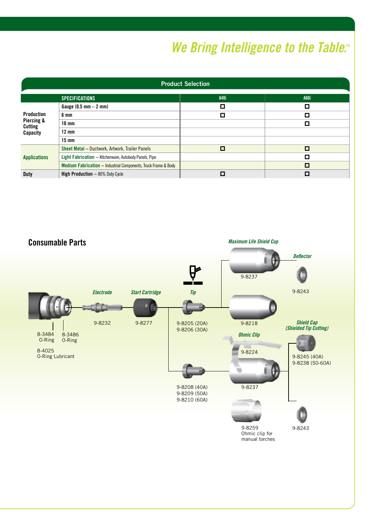# *We Bring Intelligence to the Table.<sup><i>Me Bring Intelligence to the Table.The Me*</sup>

| <b>Product Selection</b>                                      |                                                                |             |      |  |  |  |  |
|---------------------------------------------------------------|----------------------------------------------------------------|-------------|------|--|--|--|--|
|                                                               | <b>SPECIFICATIONS</b>                                          | <b>A40i</b> | A60i |  |  |  |  |
| <b>Production</b><br>Piercing &<br><b>Cutting</b><br>Capacity | Gauge $(0.5$ mm $- 2$ mm)                                      | О           |      |  |  |  |  |
|                                                               | 6 mm                                                           | П           | ப    |  |  |  |  |
|                                                               | $10 \text{ mm}$                                                |             | Π    |  |  |  |  |
|                                                               | $12 \text{ mm}$                                                |             |      |  |  |  |  |
|                                                               | $15 \text{ mm}$                                                |             |      |  |  |  |  |
| <b>Applications</b>                                           | Sheet Metal - Ductwork, Artwork, Trailer Panels                | о           | П    |  |  |  |  |
|                                                               | Light Fabrication - Kitchenware, Autobody Panels, Pipe         |             | П    |  |  |  |  |
|                                                               | Medium Fabrication - Industrial Components, Truck Frame & Body |             | О    |  |  |  |  |
| <b>Duty</b>                                                   | <b>High Production - 80% Duty Cycle</b>                        |             |      |  |  |  |  |

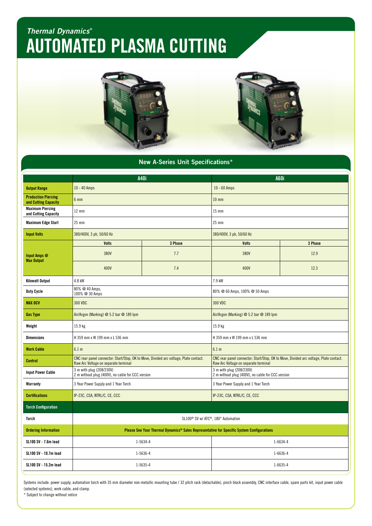## **AUTOMATED PLASMA CUTTING** *Thermal Dynamics* **®**



| <b>New A-Series Unit Specifications*</b>           |                                                                                                                               |         |                                                                                                                               |         |  |  |  |  |
|----------------------------------------------------|-------------------------------------------------------------------------------------------------------------------------------|---------|-------------------------------------------------------------------------------------------------------------------------------|---------|--|--|--|--|
| <b>A40i</b>                                        |                                                                                                                               |         | A60i                                                                                                                          |         |  |  |  |  |
| <b>Output Range</b>                                | $10 - 40$ Amps                                                                                                                |         | $10 - 60$ Amps                                                                                                                |         |  |  |  |  |
| <b>Production Piercing</b><br>and Cutting Capacity | 6 <sub>mm</sub>                                                                                                               |         | 10 <sub>mm</sub>                                                                                                              |         |  |  |  |  |
| <b>Maximum Piercing</b><br>and Cutting Capacity    | $12 \text{ mm}$                                                                                                               |         | 15 mm                                                                                                                         |         |  |  |  |  |
| <b>Maximum Edge Start</b>                          | $25$ mm                                                                                                                       |         | $25 \text{ mm}$                                                                                                               |         |  |  |  |  |
| <b>Input Volts</b>                                 | 380/400V, 3 ph, 50/60 Hz                                                                                                      |         | 380/400V, 3 ph, 50/60 Hz                                                                                                      |         |  |  |  |  |
|                                                    | <b>Volts</b>                                                                                                                  | 3 Phase | <b>Volts</b>                                                                                                                  | 3 Phase |  |  |  |  |
| Input Amps @                                       | 380V                                                                                                                          | 7.7     | 380V                                                                                                                          | 12.9    |  |  |  |  |
| <b>Max Output</b>                                  | 400V                                                                                                                          | 7.4     | 400V                                                                                                                          | 12.3    |  |  |  |  |
| <b>Kilowatt Output</b>                             | 4.8 kW                                                                                                                        |         | 7.9 kW                                                                                                                        |         |  |  |  |  |
| <b>Duty Cycle</b>                                  | 80% @ 40 Amps,<br>100% @ 30 Amps                                                                                              |         | 80% @ 60 Amps, 100% @ 50 Amps                                                                                                 |         |  |  |  |  |
| <b>MAX OCV</b>                                     | 300 VDC                                                                                                                       |         | 300 VDC                                                                                                                       |         |  |  |  |  |
| <b>Gas Type</b>                                    | Air/Argon (Marking) @ 5.2 bar @ 189 lpm                                                                                       |         | Air/Argon (Marking) @ 5.2 bar @ 189 lpm                                                                                       |         |  |  |  |  |
| Weight                                             | 15.9 kg                                                                                                                       |         | 15.9 kg                                                                                                                       |         |  |  |  |  |
| <b>Dimensions</b>                                  | H 359 mm x W 199 mm x L 536 mm                                                                                                |         | H 359 mm x W 199 mm x L 536 mm                                                                                                |         |  |  |  |  |
| <b>Work Cable</b>                                  | 6.1 <sub>m</sub>                                                                                                              |         | 6.1 m                                                                                                                         |         |  |  |  |  |
| <b>Control</b>                                     | CNC rear panel connector: Start/Stop, OK to Move, Divided arc voltage, Plate contact.<br>Raw Arc Voltage on separate terminal |         | CNC rear panel connector: Start/Stop, OK to Move, Divided arc voltage, Plate contact.<br>Raw Arc Voltage on separate terminal |         |  |  |  |  |
| <b>Input Power Cable</b>                           | 3 m with plug (208/230V)<br>2 m without plug (400V), no cable for CCC version                                                 |         | 3 m with plug (208/230V)<br>2 m without plug (400V), no cable for CCC version                                                 |         |  |  |  |  |
| Warranty                                           | 3 Year Power Supply and 1 Year Torch                                                                                          |         | 3 Year Power Supply and 1 Year Torch                                                                                          |         |  |  |  |  |
| <b>Certifications</b>                              | IP-23C, CSA, NTRL/C, CE, CCC                                                                                                  |         | IP-23C, CSA, NTRL/C, CE, CCC                                                                                                  |         |  |  |  |  |
| <b>Torch Configuration</b>                         |                                                                                                                               |         |                                                                                                                               |         |  |  |  |  |
| Torch                                              | SL100 <sup>®</sup> SV w/ ATC <sup>®</sup> , 180° Automation                                                                   |         |                                                                                                                               |         |  |  |  |  |
| <b>Ordering Information</b>                        | Please See Your Thermal Dynamics® Sales Representative for Specific System Configurations                                     |         |                                                                                                                               |         |  |  |  |  |
| SL100 SV - 7.6m lead                               | 1-5634-4                                                                                                                      |         | 1-6634-4                                                                                                                      |         |  |  |  |  |
| SL100 SV - 10.7m lead                              | 1-5636-4                                                                                                                      |         | $1 - 6636 - 4$                                                                                                                |         |  |  |  |  |
| SL100 SV - 15.2m lead                              | 1-5635-4                                                                                                                      |         | $1 - 6635 - 4$                                                                                                                |         |  |  |  |  |

Systems include: power supply, automation torch with 35 mm diameter non-metallic mounting tube / 32 pitch rack (detachable), pinch block assembly, CNC interface cable, spare parts kit, input power cable (selected systems), work cable, and clamp.

\* Subject to change without notice